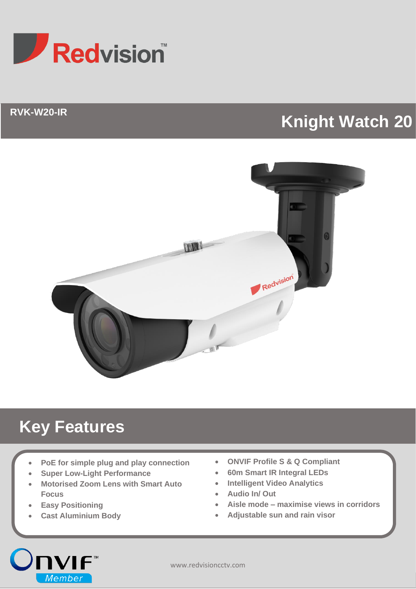

## **RVK-W20-IR**

# **Knight Watch 20**



# **Key Features**

- **PoE for simple plug and play connection**
- **Super Low-Light Performance**
- **Motorised Zoom Lens with Smart Auto Focus**
- **Easy Positioning**
- **Cast Aluminium Body**
- **ONVIF Profile S & Q Compliant**
- **60m Smart IR Integral LEDs**
- **Intelligent Video Analytics**
- **Audio In/ Out**
- **Aisle mode – maximise views in corridors**
- **Adjustable sun and rain visor**

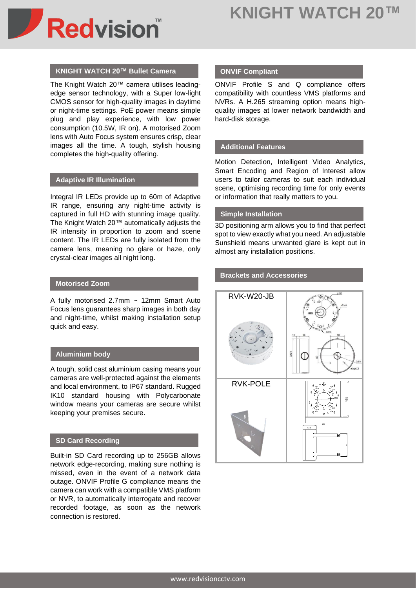

### **KNIGHT WATCH 20™ Bullet Camera**

The Knight Watch 20™ camera utilises leadingedge sensor technology, with a Super low-light CMOS sensor for high-quality images in daytime or night-time settings. PoE power means simple plug and play experience, with low power consumption (10.5W, IR on). A motorised Zoom lens with Auto Focus system ensures crisp, clear images all the time. A tough, stylish housing completes the high-quality offering.

#### **Adaptive IR Illumination**

Integral IR LEDs provide up to 60m of Adaptive IR range, ensuring any night-time activity is captured in full HD with stunning image quality. The Knight Watch 20™ automatically adjusts the IR intensity in proportion to zoom and scene content. The IR LEDs are fully isolated from the camera lens, meaning no glare or haze, only crystal-clear images all night long.

### **Motorised Zoom**

A fully motorised 2.7mm ~ 12mm Smart Auto Focus lens guarantees sharp images in both day and night-time, whilst making installation setup quick and easy.

#### **Aluminium body**

A tough, solid cast aluminium casing means your cameras are well-protected against the elements and local environment, to IP67 standard. Rugged IK10 standard housing with Polycarbonate window means your cameras are secure whilst keeping your premises secure.

#### **SD Card Recording**

Built-in SD Card recording up to 256GB allows network edge-recording, making sure nothing is missed, even in the event of a network data outage. ONVIF Profile G compliance means the camera can work with a compatible VMS platform or NVR, to automatically interrogate and recover recorded footage, as soon as the network connection is restored.

#### **ONVIF Compliant**

ONVIF Profile S and Q compliance offers compatibility with countless VMS platforms and NVRs. A H.265 streaming option means highquality images at lower network bandwidth and hard-disk storage.

#### **Additional Features**

Motion Detection, Intelligent Video Analytics, Smart Encoding and Region of Interest allow users to tailor cameras to suit each individual scene, optimising recording time for only events or information that really matters to you.

#### **Simple Installation**

3D positioning arm allows you to find that perfect spot to view exactly what you need. An adjustable Sunshield means unwanted glare is kept out in almost any installation positions.

#### **Brackets and Accessories**